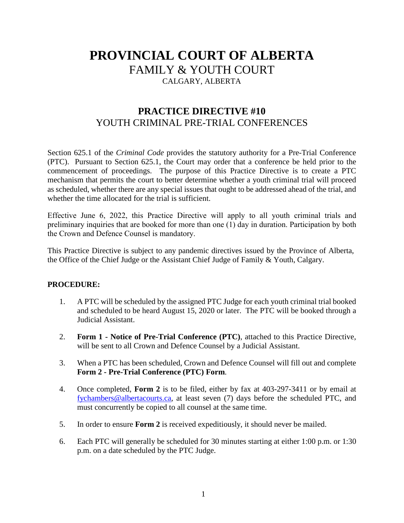## **PROVINCIAL COURT OF ALBERTA** FAMILY & YOUTH COURT CALGARY, ALBERTA

### **PRACTICE DIRECTIVE #10** YOUTH CRIMINAL PRE-TRIAL CONFERENCES

Section 625.1 of the *Criminal Code* provides the statutory authority for a Pre-Trial Conference (PTC). Pursuant to Section 625.1, the Court may order that a conference be held prior to the commencement of proceedings. The purpose of this Practice Directive is to create a PTC mechanism that permits the court to better determine whether a youth criminal trial will proceed as scheduled, whether there are any special issues that ought to be addressed ahead of the trial, and whether the time allocated for the trial is sufficient.

Effective June 6, 2022, this Practice Directive will apply to all youth criminal trials and preliminary inquiries that are booked for more than one (1) day in duration. Participation by both the Crown and Defence Counsel is mandatory.

This Practice Directive is subject to any pandemic directives issued by the Province of Alberta, the Office of the Chief Judge or the Assistant Chief Judge of Family & Youth, Calgary.

### **PROCEDURE:**

- 1. A PTC will be scheduled by the assigned PTC Judge for each youth criminal trial booked and scheduled to be heard August 15, 2020 or later. The PTC will be booked through a Judicial Assistant.
- 2. **Form 1 Notice of Pre-Trial Conference (PTC)**, attached to this Practice Directive, will be sent to all Crown and Defence Counsel by a Judicial Assistant.
- 3. When a PTC has been scheduled, Crown and Defence Counsel will fill out and complete **Form 2 - Pre-Trial Conference (PTC) Form**.
- 4. Once completed, **Form 2** is to be filed, either by fax at 403-297-3411 or by email at [fychambers@albertacourts.ca,](mailto:fychambers@albertacourts.ca) at least seven (7) days before the scheduled PTC, and must concurrently be copied to all counsel at the same time.
- 5. In order to ensure **Form 2** is received expeditiously, it should never be mailed.
- 6. Each PTC will generally be scheduled for 30 minutes starting at either 1:00 p.m. or 1:30 p.m. on a date scheduled by the PTC Judge.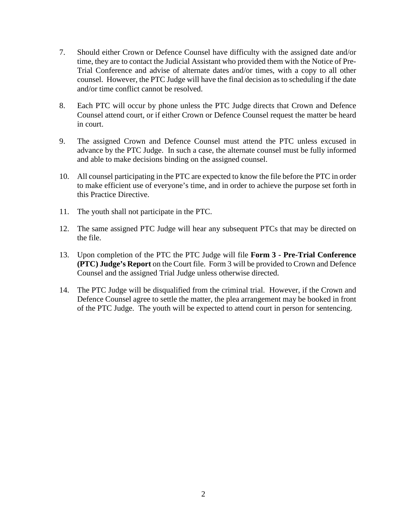- 7. Should either Crown or Defence Counsel have difficulty with the assigned date and/or time, they are to contact the Judicial Assistant who provided them with the Notice of Pre-Trial Conference and advise of alternate dates and/or times, with a copy to all other counsel. However, the PTC Judge will have the final decision as to scheduling if the date and/or time conflict cannot be resolved.
- 8. Each PTC will occur by phone unless the PTC Judge directs that Crown and Defence Counsel attend court, or if either Crown or Defence Counsel request the matter be heard in court.
- 9. The assigned Crown and Defence Counsel must attend the PTC unless excused in advance by the PTC Judge. In such a case, the alternate counsel must be fully informed and able to make decisions binding on the assigned counsel.
- 10. All counsel participating in the PTC are expected to know the file before the PTC in order to make efficient use of everyone's time, and in order to achieve the purpose set forth in this Practice Directive.
- 11. The youth shall not participate in the PTC.
- 12. The same assigned PTC Judge will hear any subsequent PTCs that may be directed on the file.
- 13. Upon completion of the PTC the PTC Judge will file **Form 3 - Pre-Trial Conference (PTC) Judge's Report** on the Court file. Form 3 will be provided to Crown and Defence Counsel and the assigned Trial Judge unless otherwise directed.
- 14. The PTC Judge will be disqualified from the criminal trial. However, if the Crown and Defence Counsel agree to settle the matter, the plea arrangement may be booked in front of the PTC Judge. The youth will be expected to attend court in person for sentencing.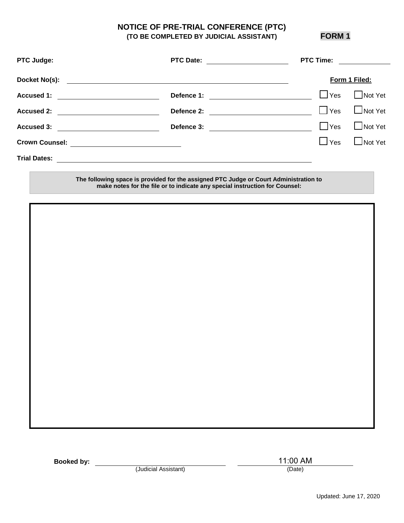# **NOTICE OF PRE-TRIAL CONFERENCE (PTC)**

**(TO BE COMPLETED BY JUDICIAL ASSISTANT) FORM 1** 

| <b>PTC Judge:</b>                                                                                                                          | <b>PTC Date:</b>                                                                                                     | <b>PTC Time:</b>                                                                                                                                     |
|--------------------------------------------------------------------------------------------------------------------------------------------|----------------------------------------------------------------------------------------------------------------------|------------------------------------------------------------------------------------------------------------------------------------------------------|
| Docket No(s):                                                                                                                              | <u> 1989 - Johann John Stein, markin sanadi a shekara ta 1989 - An tsara tsara tsara tsara tsara tsara tsara tsa</u> | Form 1 Filed:                                                                                                                                        |
| <b>Accused 1:</b><br><u> 1980 - Jan Barbara Barbara, manazarta bashkar a shekara 1980 - André a Santa Barbara a shekara 1980 - André a</u> | Defence 1:                                                                                                           | Not Yet<br>$\Box$ Yes<br><u> 1980 - Jan Samuel Barbara, politik eta politik eta politik eta politik eta politik eta politik eta politik e</u>        |
| <b>Accused 2:</b><br><u> 1989 - Andrea Station Barbara, politik eta provincia eta provincia eta provincia eta provincia eta provincia</u>  | Defence 2:                                                                                                           | $\Box$ Not Yet<br>$\Box$ Yes<br><u> 1989 - Johann Barnett, fransk politik (</u>                                                                      |
| Accused 3: <u>____________________________</u>                                                                                             | Defence 3:                                                                                                           | $\Box$ Not Yet<br>$\Box$ Yes<br><u> 1980 - Jan Stein Stein Stein Stein Stein Stein Stein Stein Stein Stein Stein Stein Stein Stein Stein Stein S</u> |
| <b>Crown Counsel:</b>                                                                                                                      | <u> 1980 - Andrea Andrew Maria (h. 1980).</u>                                                                        | $\Box$ Not Yet<br>$\Box$ Yes                                                                                                                         |
|                                                                                                                                            |                                                                                                                      |                                                                                                                                                      |
|                                                                                                                                            | The following space is provided for the assigned PTC Judge or Court Administration to                                |                                                                                                                                                      |

**make notes for the file or to indicate any special instruction for Counsel:** 

**Booked by:**

(Judicial Assistant) (Date)

11:00 AM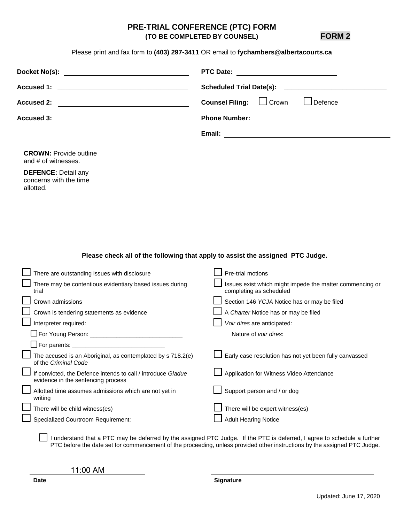### **PRE-TRIAL CONFERENCE (PTC) FORM (TO BE COMPLETED BY COUNSEL) FORM 2**

Please print and fax form to **(403) 297-3411** OR email to **fychambers@albertacourts.ca**

|                                                                                                                                            | <b>PTC Date:</b><br><u> 1980 - Jan Stein Harry Harry Harry Harry Harry Harry Harry Harry Harry Harry Harry Harry Harry Harry</u><br><b>Scheduled Trial Date(s):</b> |  |
|--------------------------------------------------------------------------------------------------------------------------------------------|---------------------------------------------------------------------------------------------------------------------------------------------------------------------|--|
|                                                                                                                                            |                                                                                                                                                                     |  |
| <b>Accused 2:</b>                                                                                                                          | $\Box$ Crown<br>Defence<br><b>Counsel Filing:</b>                                                                                                                   |  |
| <b>Accused 3:</b><br><u> 1980 - Johann Barbara, martin amerikan basar dan basar dan basar dalam basar dalam basar dalam basar dalam ba</u> | Phone Number: <u>__________________________</u>                                                                                                                     |  |
|                                                                                                                                            | Email:<br><u> 1989 - Johann Stoff, deutscher Stoffen und der Stoffen und der Stoffen und der Stoffen und der Stoffen und der</u>                                    |  |
| <b>CROWN: Provide outline</b><br>and # of witnesses.                                                                                       |                                                                                                                                                                     |  |
| <b>DEFENCE: Detail any</b><br>concerns with the time<br>allotted.                                                                          |                                                                                                                                                                     |  |
| There are outstanding issues with disclosure                                                                                               | Please check all of the following that apply to assist the assigned PTC Judge.<br>Pre-trial motions                                                                 |  |
| There may be contentious evidentiary based issues during                                                                                   | Issues exist which might impede the matter commencing or                                                                                                            |  |
| trial                                                                                                                                      | completing as scheduled                                                                                                                                             |  |
| Crown admissions                                                                                                                           | Section 146 YCJA Notice has or may be filed                                                                                                                         |  |
| Crown is tendering statements as evidence                                                                                                  | A Charter Notice has or may be filed                                                                                                                                |  |
| Interpreter required:                                                                                                                      | Voir dires are anticipated:                                                                                                                                         |  |
|                                                                                                                                            | Nature of voir dires:                                                                                                                                               |  |
|                                                                                                                                            |                                                                                                                                                                     |  |
| The accused is an Aboriginal, as contemplated by s 718.2(e)<br>of the Criminal Code                                                        | Early case resolution has not yet been fully canvassed                                                                                                              |  |
| If convicted, the Defence intends to call / introduce Gladue<br>evidence in the sentencing process                                         | Application for Witness Video Attendance                                                                                                                            |  |
| Allotted time assumes admissions which are not yet in<br>writing                                                                           | Support person and / or dog                                                                                                                                         |  |
| There will be child witness(es)                                                                                                            | There will be expert witness(es)                                                                                                                                    |  |
| <b>Specialized Courtroom Requirement:</b>                                                                                                  | <b>Adult Hearing Notice</b>                                                                                                                                         |  |
|                                                                                                                                            | I understand that a PTC may be deferred by the assigned PTC Judge. If the PTC is deferred, I agree to schedule a further                                            |  |

PTC before the date set for commencement of the proceeding, unless provided other instructions by the assigned PTC Judge.

11:00 AM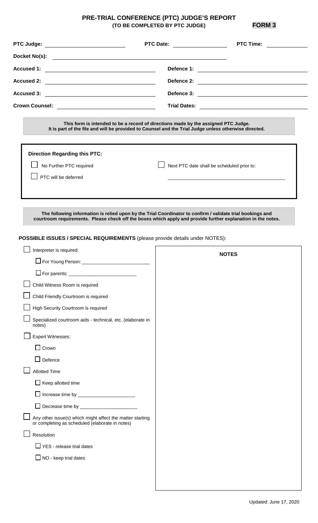### **PRE-TRIAL CONFERENCE (PTC) JUDGE'S REPORT (TO BE COMPLETED BY PTC JUDGE) FORM 3**

**PTC Judge: PTC Date: PTC Time: Docket No(s): Accused 1: Defence 1: Accused 2: Defence 2: Accused 3: Defence 3: Crown Counsel: Trial Dates: This form is intended to be a record of directions made by the assigned PTC Judge. It is part of the file and will be provided to Counsel and the Trial Judge unless otherwise directed. Direction Regarding this PTC:**  Next PTC date shall be scheduled prior to: \_\_\_\_\_\_\_\_\_\_\_\_\_\_\_\_\_\_\_\_\_\_\_\_\_\_\_\_\_\_\_\_\_\_\_\_\_\_\_\_\_\_\_\_\_ No Further PTC required PTC will be deferred **The following information is relied upon by the Trial Coordinator to confirm / validate trial bookings and courtroom requirements. Please check off the boxes which apply and provide further explanation in the notes. POSSIBLE ISSUES / SPECIAL REQUIREMENTS** (please provide details under NOTES): Interpreter is required: For Young Person: \_\_\_\_\_\_\_\_\_\_\_\_\_\_\_\_\_\_\_\_\_\_\_\_\_\_  $\square$  For parents: Child Witness Room is required Child Friendly Courtroom is required High Security Courtroom is required Specialized courtroom aids - technical, etc. (elaborate in notes) Expert Witnesses:  $\Box$  Crown  $\Box$  Defence  $\perp$  Allotted Time  $\Box$  Keep allotted time Increase time by \_\_\_\_\_\_\_\_\_\_\_\_\_\_\_\_\_\_\_\_\_\_  $\Box$  Decrease time by  $\_$ Any other issue(s) which might affect the matter starting or completing as scheduled (elaborate in notes)  $\Box$  Resolution  $\Box$  YES - release trial dates  $\Box$  NO - keep trial dates **NOTES**